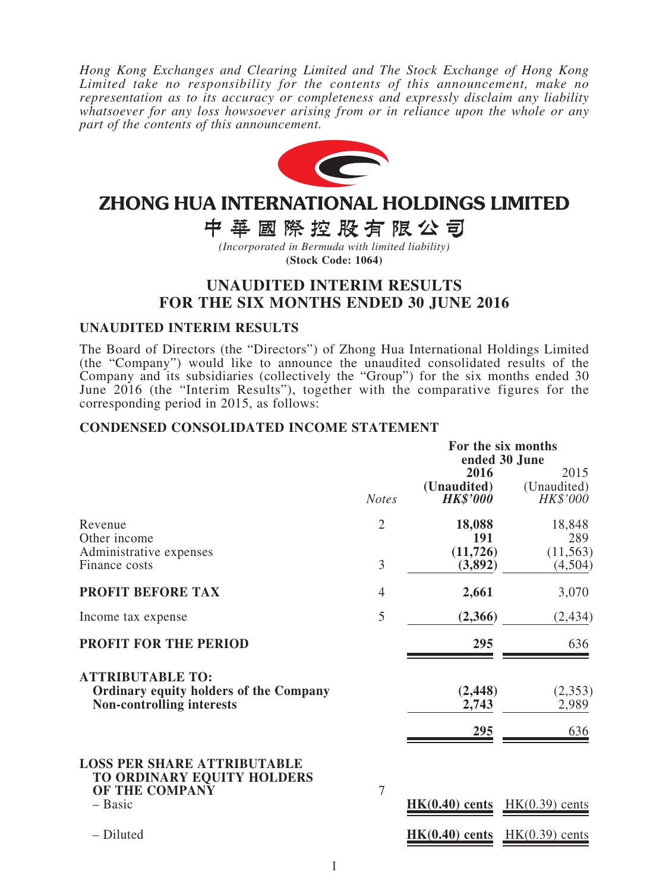*Hong Kong Exchanges and Clearing Limited and The Stock Exchange of Hong Kong Limited take no responsibility for the contents of this announcement, make no representation as to its accuracy or completeness and expressly disclaim any liability whatsoever for any loss howsoever arising from or in reliance upon the whole or any part of the contents of this announcement.*



# ZHONG HUA INTERNATIONAL HOLDINGS LIMITED

中華國際控股有限公司

*(Incorporated in Bermuda with limited liability)* **(Stock Code: 1064)**

# **UNAUDITED INTERIM RESULTS FOR THE SIX MONTHS ENDED 30 JUNE 2016**

### **UNAUDITED INTERIM RESULTS**

The Board of Directors (the "Directors") of Zhong Hua International Holdings Limited (the "Company") would like to announce the unaudited consolidated results of the Company and its subsidiaries (collectively the "Group") for the six months ended 30 June 2016 (the "Interim Results"), together with the comparative figures for the corresponding period in 2015, as follows:

### **CONDENSED CONSOLIDATED INCOME STATEMENT**

|                                                                                                              |                | For the six months<br>ended 30 June    |                                 |  |  |
|--------------------------------------------------------------------------------------------------------------|----------------|----------------------------------------|---------------------------------|--|--|
|                                                                                                              | <b>Notes</b>   | 2016<br>(Unaudited)<br><b>HK\$'000</b> | 2015<br>(Unaudited)<br>HK\$'000 |  |  |
| Revenue<br>Other income                                                                                      | $\overline{2}$ | 18,088<br><b>191</b>                   | 18,848<br>289                   |  |  |
| Administrative expenses<br>Finance costs                                                                     | 3              | (11, 726)<br>(3,892)                   | (11, 563)<br>(4,504)            |  |  |
| <b>PROFIT BEFORE TAX</b>                                                                                     | 4              | 2,661                                  | 3,070                           |  |  |
| Income tax expense                                                                                           | 5              | (2,366)                                | (2, 434)                        |  |  |
| <b>PROFIT FOR THE PERIOD</b>                                                                                 |                | 295                                    | 636                             |  |  |
| <b>ATTRIBUTABLE TO:</b><br><b>Ordinary equity holders of the Company</b><br><b>Non-controlling interests</b> |                | (2, 448)<br>2,743                      | (2,353)<br>2,989                |  |  |
|                                                                                                              |                | 295                                    | 636                             |  |  |
| <b>LOSS PER SHARE ATTRIBUTABLE</b><br>TO ORDINARY EQUITY HOLDERS<br>OF THE COMPANY                           | $\overline{7}$ |                                        |                                 |  |  |
| $-$ Basic                                                                                                    |                | $HK(0.40)$ cents                       | $HK(0.39)$ cents                |  |  |
| - Diluted                                                                                                    |                | $HK(0.40)$ cents                       | $HK(0.39)$ cents                |  |  |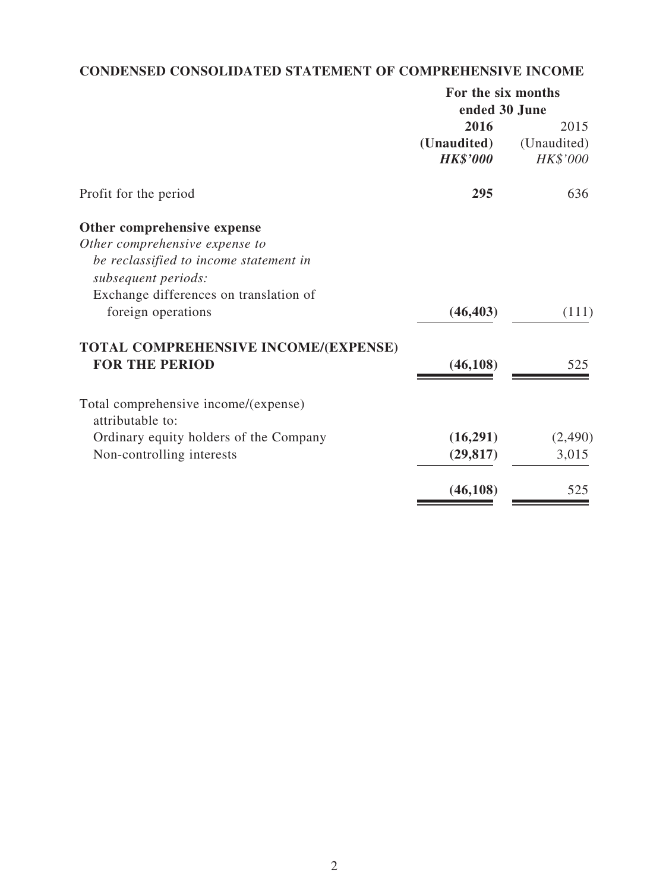# **CONDENSED CONSOLIDATED STATEMENT OF COMPREHENSIVE INCOME**

|                                        |                 | For the six months |  |  |
|----------------------------------------|-----------------|--------------------|--|--|
|                                        |                 | ended 30 June      |  |  |
|                                        | 2016            | 2015               |  |  |
|                                        | (Unaudited)     | (Unaudited)        |  |  |
|                                        | <b>HK\$'000</b> | HK\$'000           |  |  |
| Profit for the period                  | 295             | 636                |  |  |
| Other comprehensive expense            |                 |                    |  |  |
| Other comprehensive expense to         |                 |                    |  |  |
| be reclassified to income statement in |                 |                    |  |  |
| subsequent periods:                    |                 |                    |  |  |
| Exchange differences on translation of |                 |                    |  |  |
| foreign operations                     | (46, 403)       | (111)              |  |  |
| TOTAL COMPREHENSIVE INCOME/(EXPENSE)   |                 |                    |  |  |
| <b>FOR THE PERIOD</b>                  | (46, 108)       | 525                |  |  |
| Total comprehensive income/(expense)   |                 |                    |  |  |
| attributable to:                       |                 |                    |  |  |
| Ordinary equity holders of the Company | (16,291)        | (2,490)            |  |  |
| Non-controlling interests              | (29, 817)       | 3,015              |  |  |
|                                        | (46, 108)       | 525                |  |  |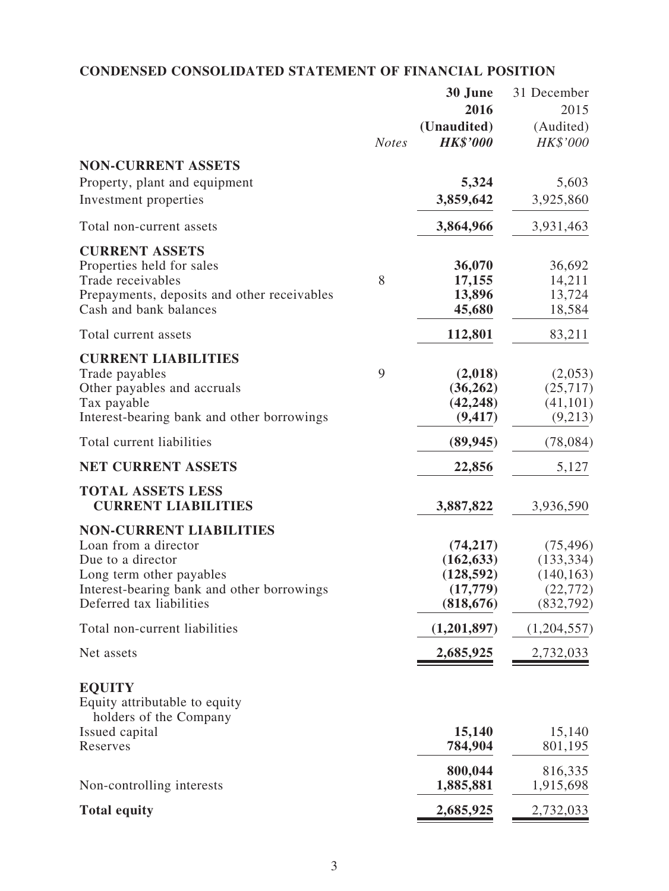# **CONDENSED CONSOLIDATED STATEMENT OF FINANCIAL POSITION**

|                                                         |              | 30 June         | 31 December |
|---------------------------------------------------------|--------------|-----------------|-------------|
|                                                         |              | 2016            | 2015        |
|                                                         |              | (Unaudited)     | (Audited)   |
|                                                         | <b>Notes</b> | <b>HK\$'000</b> | HK\$'000    |
| <b>NON-CURRENT ASSETS</b>                               |              |                 |             |
|                                                         |              | 5,324           | 5,603       |
| Property, plant and equipment                           |              |                 |             |
| Investment properties                                   |              | 3,859,642       | 3,925,860   |
| Total non-current assets                                |              | 3,864,966       | 3,931,463   |
| <b>CURRENT ASSETS</b>                                   |              |                 |             |
| Properties held for sales                               |              | 36,070          | 36,692      |
| Trade receivables                                       | 8            | 17,155          | 14,211      |
| Prepayments, deposits and other receivables             |              | 13,896          | 13,724      |
| Cash and bank balances                                  |              | 45,680          | 18,584      |
| Total current assets                                    |              | 112,801         | 83,211      |
| <b>CURRENT LIABILITIES</b>                              |              |                 |             |
| Trade payables                                          | 9            | (2,018)         | (2,053)     |
| Other payables and accruals                             |              | (36, 262)       | (25,717)    |
| Tax payable                                             |              | (42, 248)       | (41, 101)   |
| Interest-bearing bank and other borrowings              |              | (9, 417)        | (9,213)     |
| Total current liabilities                               |              | (89, 945)       | (78, 084)   |
| <b>NET CURRENT ASSETS</b>                               |              | 22,856          | 5,127       |
| <b>TOTAL ASSETS LESS</b>                                |              |                 |             |
| <b>CURRENT LIABILITIES</b>                              |              | 3,887,822       | 3,936,590   |
| <b>NON-CURRENT LIABILITIES</b>                          |              |                 |             |
| Loan from a director                                    |              | (74, 217)       | (75, 496)   |
| Due to a director                                       |              | (162, 633)      | (133, 334)  |
| Long term other payables                                |              | (128, 592)      | (140, 163)  |
| Interest-bearing bank and other borrowings              |              | (17, 779)       | (22, 772)   |
| Deferred tax liabilities                                |              | (818, 676)      | (832, 792)  |
| Total non-current liabilities                           |              | (1,201,897)     | (1,204,557) |
| Net assets                                              |              | 2,685,925       | 2,732,033   |
|                                                         |              |                 |             |
| <b>EQUITY</b>                                           |              |                 |             |
| Equity attributable to equity<br>holders of the Company |              |                 |             |
| Issued capital                                          |              | 15,140          | 15,140      |
| Reserves                                                |              | 784,904         | 801,195     |
|                                                         |              |                 |             |
|                                                         |              | 800,044         | 816,335     |
| Non-controlling interests                               |              | 1,885,881       | 1,915,698   |
| <b>Total equity</b>                                     |              | 2,685,925       | 2,732,033   |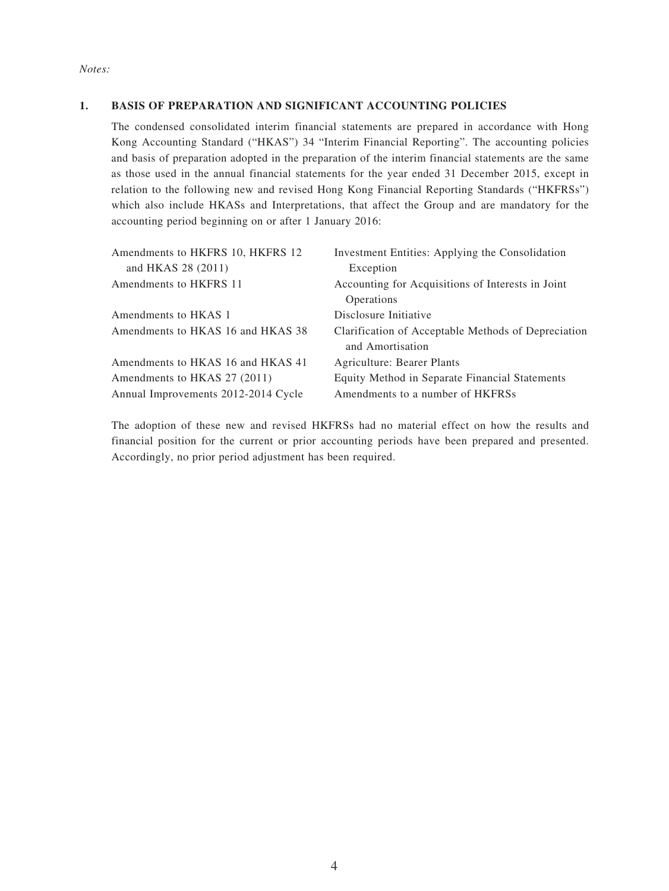#### **1. BASIS OF PREPARATION AND SIGNIFICANT ACCOUNTING POLICIES**

The condensed consolidated interim financial statements are prepared in accordance with Hong Kong Accounting Standard ("HKAS") 34 "Interim Financial Reporting". The accounting policies and basis of preparation adopted in the preparation of the interim financial statements are the same as those used in the annual financial statements for the year ended 31 December 2015, except in relation to the following new and revised Hong Kong Financial Reporting Standards ("HKFRSs") which also include HKASs and Interpretations, that affect the Group and are mandatory for the accounting period beginning on or after 1 January 2016:

| Amendments to HKFRS 10, HKFRS 12    | Investment Entities: Applying the Consolidation     |
|-------------------------------------|-----------------------------------------------------|
| and HKAS 28 (2011)                  | Exception                                           |
| Amendments to HKFRS 11              | Accounting for Acquisitions of Interests in Joint   |
|                                     | Operations                                          |
| Amendments to HKAS 1                | Disclosure Initiative                               |
| Amendments to HKAS 16 and HKAS 38   | Clarification of Acceptable Methods of Depreciation |
|                                     | and Amortisation                                    |
| Amendments to HKAS 16 and HKAS 41   | Agriculture: Bearer Plants                          |
| Amendments to HKAS 27 (2011)        | Equity Method in Separate Financial Statements      |
| Annual Improvements 2012-2014 Cycle | Amendments to a number of HKFRSs                    |

The adoption of these new and revised HKFRSs had no material effect on how the results and financial position for the current or prior accounting periods have been prepared and presented. Accordingly, no prior period adjustment has been required.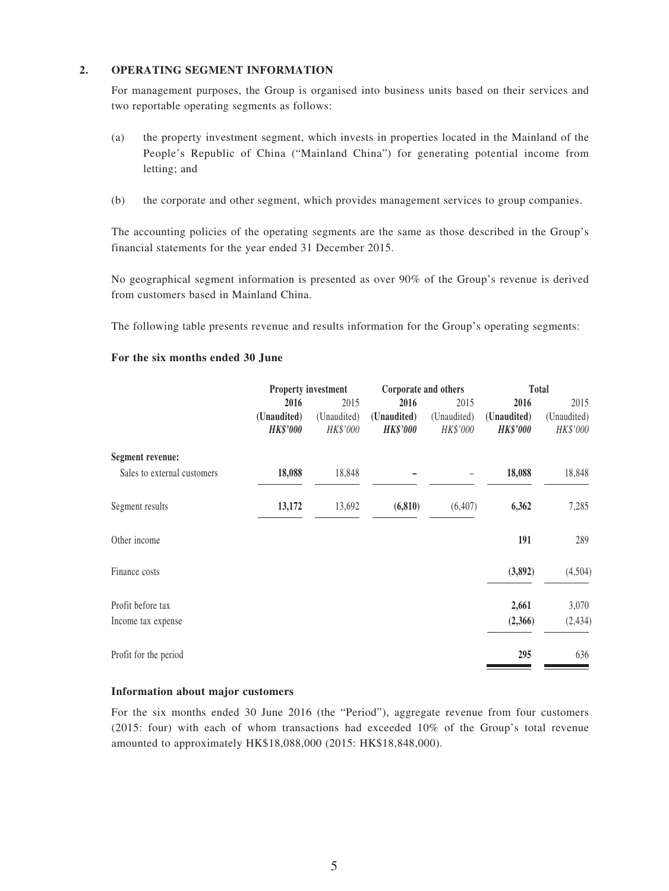#### **2. OPERATING SEGMENT INFORMATION**

For management purposes, the Group is organised into business units based on their services and two reportable operating segments as follows:

- (a) the property investment segment, which invests in properties located in the Mainland of the People's Republic of China ("Mainland China") for generating potential income from letting; and
- (b) the corporate and other segment, which provides management services to group companies.

The accounting policies of the operating segments are the same as those described in the Group's financial statements for the year ended 31 December 2015.

No geographical segment information is presented as over 90% of the Group's revenue is derived from customers based in Mainland China.

The following table presents revenue and results information for the Group's operating segments:

#### **For the six months ended 30 June**

|                             | <b>Property investment</b>     |                         | Corporate and others           |                         | <b>Total</b>                   |                         |
|-----------------------------|--------------------------------|-------------------------|--------------------------------|-------------------------|--------------------------------|-------------------------|
|                             | 2016                           | 2015                    | 2016                           | 2015                    | 2016                           | 2015                    |
|                             | (Unaudited)<br><b>HK\$'000</b> | (Unaudited)<br>HK\$'000 | (Unaudited)<br><b>HK\$'000</b> | (Unaudited)<br>HK\$'000 | (Unaudited)<br><b>HK\$'000</b> | (Unaudited)<br>HK\$'000 |
| <b>Segment revenue:</b>     |                                |                         |                                |                         |                                |                         |
| Sales to external customers | 18,088                         | 18,848                  |                                |                         | 18,088                         | 18,848                  |
| Segment results             | 13,172                         | 13,692                  | (6, 810)                       | (6,407)                 | 6,362                          | 7,285                   |
| Other income                |                                |                         |                                |                         | 191                            | 289                     |
| Finance costs               |                                |                         |                                |                         | (3,892)                        | (4,504)                 |
| Profit before tax           |                                |                         |                                |                         | 2,661                          | 3,070                   |
| Income tax expense          |                                |                         |                                |                         | (2,366)                        | (2, 434)                |
| Profit for the period       |                                |                         |                                |                         | 295                            | 636                     |

#### **Information about major customers**

For the six months ended 30 June 2016 (the "Period"), aggregate revenue from four customers (2015: four) with each of whom transactions had exceeded 10% of the Group's total revenue amounted to approximately HK\$18,088,000 (2015: HK\$18,848,000).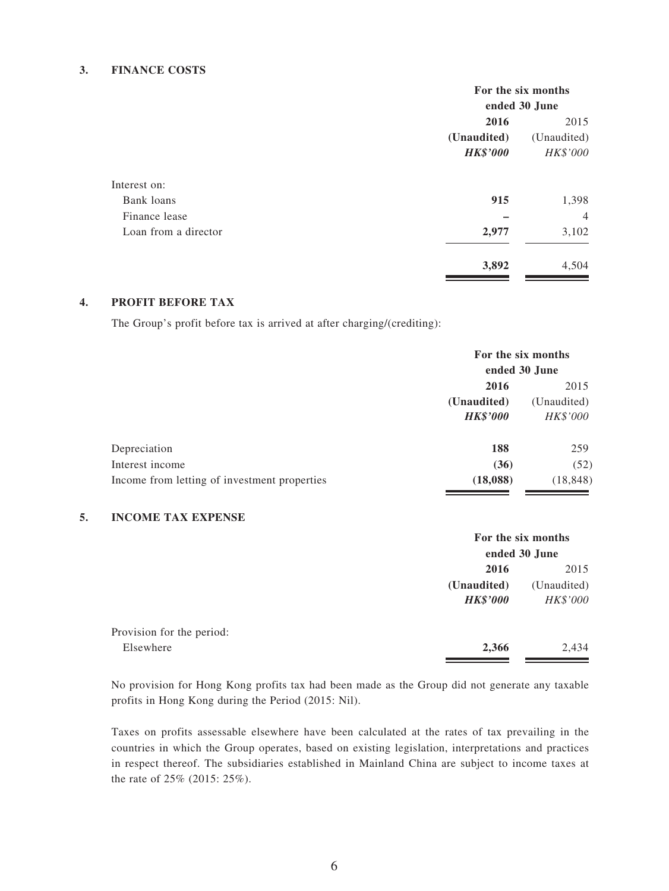#### **3. FINANCE COSTS**

|                      | For the six months             |                         |  |
|----------------------|--------------------------------|-------------------------|--|
|                      | ended 30 June                  |                         |  |
|                      | 2016                           | 2015                    |  |
|                      | (Unaudited)<br><b>HK\$'000</b> | (Unaudited)<br>HK\$'000 |  |
| Interest on:         |                                |                         |  |
| Bank loans           | 915                            | 1,398                   |  |
| Finance lease        |                                | $\overline{4}$          |  |
| Loan from a director | 2,977                          | 3,102                   |  |
|                      | 3,892                          | 4,504                   |  |

#### **4. PROFIT BEFORE TAX**

The Group's profit before tax is arrived at after charging/(crediting):

|                                              | For the six months<br>ended 30 June |             |  |
|----------------------------------------------|-------------------------------------|-------------|--|
|                                              | 2016                                | 2015        |  |
|                                              | (Unaudited)                         | (Unaudited) |  |
|                                              | <b>HK\$'000</b>                     | HK\$'000    |  |
| Depreciation                                 | 188                                 | 259         |  |
| Interest income                              | (36)                                | (52)        |  |
| Income from letting of investment properties | (18,088)                            | (18, 848)   |  |

#### **5. INCOME TAX EXPENSE**

|                           |                 | For the six months |  |  |
|---------------------------|-----------------|--------------------|--|--|
|                           |                 | ended 30 June      |  |  |
|                           | 2016            | 2015               |  |  |
|                           | (Unaudited)     | (Unaudited)        |  |  |
|                           | <b>HK\$'000</b> | HK\$'000           |  |  |
| Provision for the period: |                 |                    |  |  |
| Elsewhere                 | 2,366           | 2,434              |  |  |

No provision for Hong Kong profits tax had been made as the Group did not generate any taxable profits in Hong Kong during the Period (2015: Nil).

Taxes on profits assessable elsewhere have been calculated at the rates of tax prevailing in the countries in which the Group operates, based on existing legislation, interpretations and practices in respect thereof. The subsidiaries established in Mainland China are subject to income taxes at the rate of 25% (2015: 25%).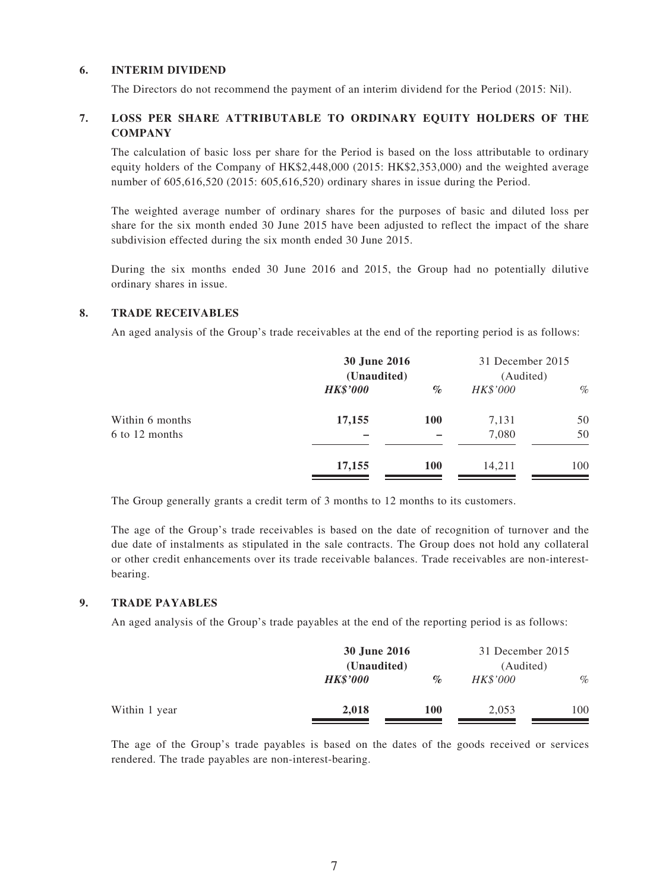#### **6. INTERIM DIVIDEND**

The Directors do not recommend the payment of an interim dividend for the Period (2015: Nil).

#### **7. LOSS PER SHARE ATTRIBUTABLE TO ORDINARY EQUITY HOLDERS OF THE COMPANY**

The calculation of basic loss per share for the Period is based on the loss attributable to ordinary equity holders of the Company of HK\$2,448,000 (2015: HK\$2,353,000) and the weighted average number of 605,616,520 (2015: 605,616,520) ordinary shares in issue during the Period.

The weighted average number of ordinary shares for the purposes of basic and diluted loss per share for the six month ended 30 June 2015 have been adjusted to reflect the impact of the share subdivision effected during the six month ended 30 June 2015.

During the six months ended 30 June 2016 and 2015, the Group had no potentially dilutive ordinary shares in issue.

#### **8. TRADE RECEIVABLES**

An aged analysis of the Group's trade receivables at the end of the reporting period is as follows:

|                 | 30 June 2016<br>(Unaudited) |            | 31 December 2015<br>(Audited) |      |
|-----------------|-----------------------------|------------|-------------------------------|------|
|                 | <b>HK\$'000</b>             | $\%$       | HK\$'000                      | $\%$ |
| Within 6 months | 17,155                      | <b>100</b> | 7,131                         | 50   |
| 6 to 12 months  |                             |            | 7,080                         | 50   |
|                 | 17,155                      | <b>100</b> | 14,211                        | 100  |

The Group generally grants a credit term of 3 months to 12 months to its customers.

The age of the Group's trade receivables is based on the date of recognition of turnover and the due date of instalments as stipulated in the sale contracts. The Group does not hold any collateral or other credit enhancements over its trade receivable balances. Trade receivables are non-interestbearing.

#### **9. TRADE PAYABLES**

An aged analysis of the Group's trade payables at the end of the reporting period is as follows:

|               |                 | 30 June 2016<br>(Unaudited) |                 | 31 December 2015<br>(Audited) |  |
|---------------|-----------------|-----------------------------|-----------------|-------------------------------|--|
|               |                 |                             |                 |                               |  |
|               | <b>HK\$'000</b> | $\%$                        | <b>HK\$'000</b> | $\%$                          |  |
| Within 1 year | 2,018           | 100                         | 2,053           | 100                           |  |

The age of the Group's trade payables is based on the dates of the goods received or services rendered. The trade payables are non-interest-bearing.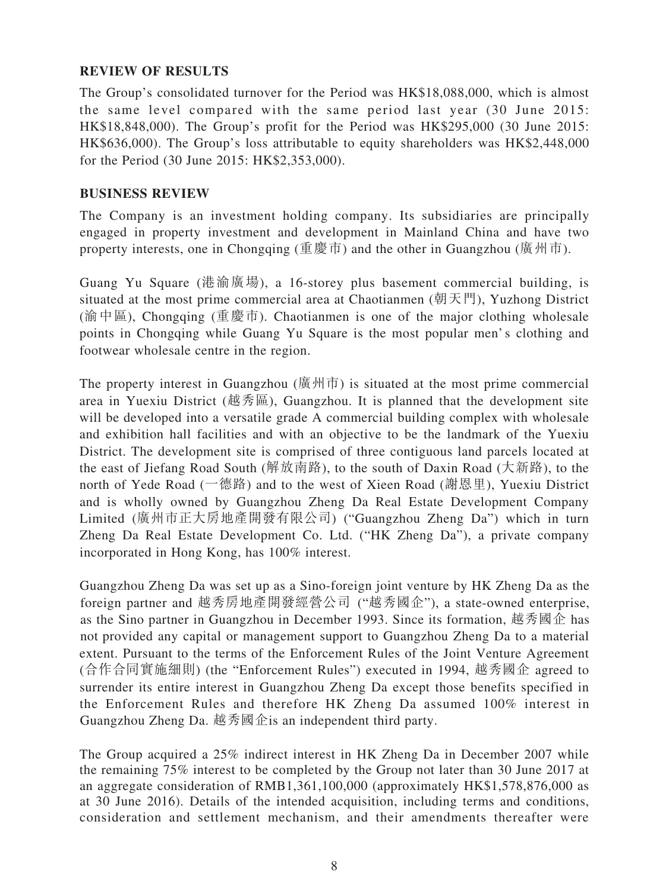### **REVIEW OF RESULTS**

The Group's consolidated turnover for the Period was HK\$18,088,000, which is almost the same level compared with the same period last year (30 June 2015: HK\$18,848,000). The Group's profit for the Period was HK\$295,000 (30 June 2015: HK\$636,000). The Group's loss attributable to equity shareholders was HK\$2,448,000 for the Period (30 June 2015: HK\$2,353,000).

### **BUSINESS REVIEW**

The Company is an investment holding company. Its subsidiaries are principally engaged in property investment and development in Mainland China and have two property interests, one in Chongqing (重慶市) and the other in Guangzhou (廣州市).

Guang Yu Square (港渝廣場), a 16-storey plus basement commercial building, is situated at the most prime commercial area at Chaotianmen (朝天門), Yuzhong District (渝中區), Chongqing (重慶市). Chaotianmen is one of the major clothing wholesale points in Chongqing while Guang Yu Square is the most popular men's clothing and footwear wholesale centre in the region.

The property interest in Guangzhou (廣州市) is situated at the most prime commercial area in Yuexiu District (越秀區), Guangzhou. It is planned that the development site will be developed into a versatile grade A commercial building complex with wholesale and exhibition hall facilities and with an objective to be the landmark of the Yuexiu District. The development site is comprised of three contiguous land parcels located at the east of Jiefang Road South (解放南路), to the south of Daxin Road (大新路), to the north of Yede Road (一德路) and to the west of Xieen Road (謝恩里), Yuexiu District and is wholly owned by Guangzhou Zheng Da Real Estate Development Company Limited (廣州市正大房地產開發有限公司) ("Guangzhou Zheng Da") which in turn Zheng Da Real Estate Development Co. Ltd. ("HK Zheng Da"), a private company incorporated in Hong Kong, has 100% interest.

Guangzhou Zheng Da was set up as a Sino-foreign joint venture by HK Zheng Da as the foreign partner and 越秀房地產開發經營公司 ("越秀國企"), a state-owned enterprise, as the Sino partner in Guangzhou in December 1993. Since its formation, 越秀國企 has not provided any capital or management support to Guangzhou Zheng Da to a material extent. Pursuant to the terms of the Enforcement Rules of the Joint Venture Agreement (合作合同實施細則) (the "Enforcement Rules") executed in 1994, 越秀國企 agreed to surrender its entire interest in Guangzhou Zheng Da except those benefits specified in the Enforcement Rules and therefore HK Zheng Da assumed 100% interest in Guangzhou Zheng Da. 越秀國企is an independent third party.

The Group acquired a 25% indirect interest in HK Zheng Da in December 2007 while the remaining 75% interest to be completed by the Group not later than 30 June 2017 at an aggregate consideration of RMB1,361,100,000 (approximately HK\$1,578,876,000 as at 30 June 2016). Details of the intended acquisition, including terms and conditions, consideration and settlement mechanism, and their amendments thereafter were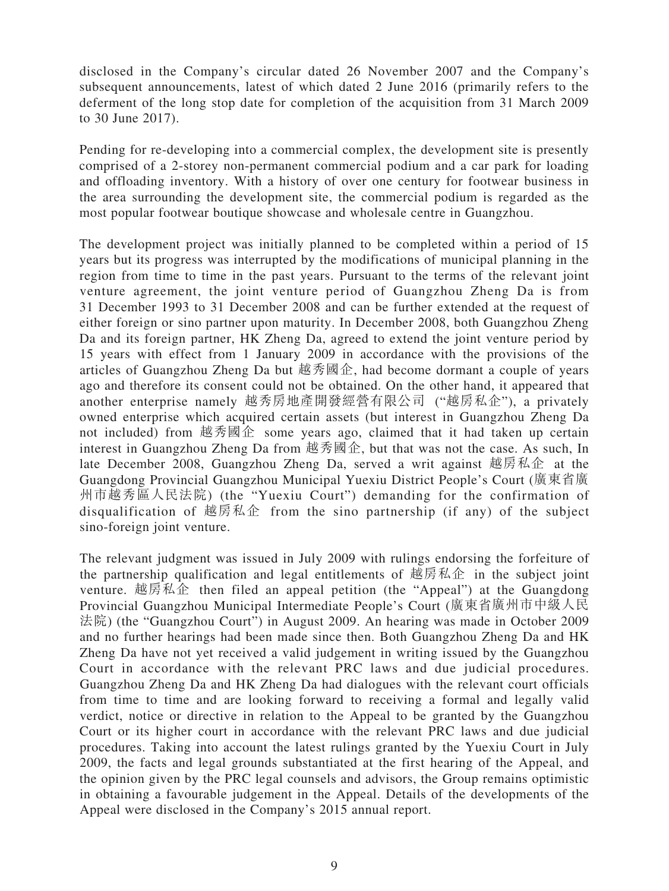disclosed in the Company's circular dated 26 November 2007 and the Company's subsequent announcements, latest of which dated 2 June 2016 (primarily refers to the deferment of the long stop date for completion of the acquisition from 31 March 2009 to 30 June 2017).

Pending for re-developing into a commercial complex, the development site is presently comprised of a 2-storey non-permanent commercial podium and a car park for loading and offloading inventory. With a history of over one century for footwear business in the area surrounding the development site, the commercial podium is regarded as the most popular footwear boutique showcase and wholesale centre in Guangzhou.

The development project was initially planned to be completed within a period of 15 years but its progress was interrupted by the modifications of municipal planning in the region from time to time in the past years. Pursuant to the terms of the relevant joint venture agreement, the joint venture period of Guangzhou Zheng Da is from 31 December 1993 to 31 December 2008 and can be further extended at the request of either foreign or sino partner upon maturity. In December 2008, both Guangzhou Zheng Da and its foreign partner, HK Zheng Da, agreed to extend the joint venture period by 15 years with effect from 1 January 2009 in accordance with the provisions of the articles of Guangzhou Zheng Da but 越秀國企, had become dormant a couple of years ago and therefore its consent could not be obtained. On the other hand, it appeared that another enterprise namely 越秀房地產開發經營有限公司 ("越房私企"), a privately owned enterprise which acquired certain assets (but interest in Guangzhou Zheng Da not included) from 越秀國企 some years ago, claimed that it had taken up certain interest in Guangzhou Zheng Da from 越秀國企, but that was not the case. As such, In late December 2008, Guangzhou Zheng Da, served a writ against 越房私企 at the Guangdong Provincial Guangzhou Municipal Yuexiu District People's Court (廣東省廣 州市越秀區人民法院) (the "Yuexiu Court") demanding for the confirmation of disqualification of 越房私企 from the sino partnership (if any) of the subject sino-foreign joint venture.

The relevant judgment was issued in July 2009 with rulings endorsing the forfeiture of the partnership qualification and legal entitlements of 越房私企 in the subject joint venture. 越房私企 then filed an appeal petition (the "Appeal") at the Guangdong Provincial Guangzhou Municipal Intermediate People's Court (廣東省廣州市中級人民 法院) (the "Guangzhou Court") in August 2009. An hearing was made in October 2009 and no further hearings had been made since then. Both Guangzhou Zheng Da and HK Zheng Da have not yet received a valid judgement in writing issued by the Guangzhou Court in accordance with the relevant PRC laws and due judicial procedures. Guangzhou Zheng Da and HK Zheng Da had dialogues with the relevant court officials from time to time and are looking forward to receiving a formal and legally valid verdict, notice or directive in relation to the Appeal to be granted by the Guangzhou Court or its higher court in accordance with the relevant PRC laws and due judicial procedures. Taking into account the latest rulings granted by the Yuexiu Court in July 2009, the facts and legal grounds substantiated at the first hearing of the Appeal, and the opinion given by the PRC legal counsels and advisors, the Group remains optimistic in obtaining a favourable judgement in the Appeal. Details of the developments of the Appeal were disclosed in the Company's 2015 annual report.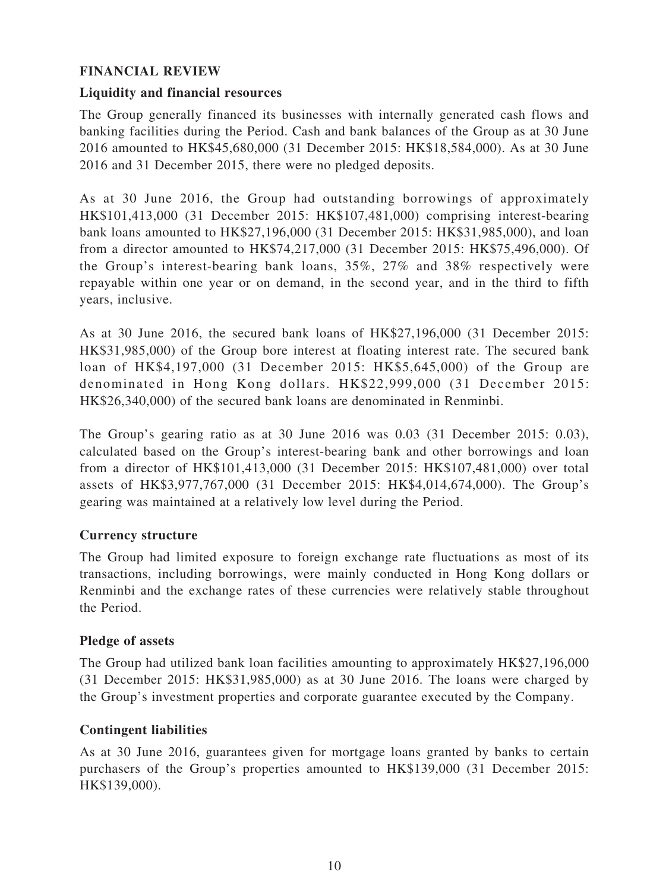### **FINANCIAL REVIEW**

### **Liquidity and financial resources**

The Group generally financed its businesses with internally generated cash flows and banking facilities during the Period. Cash and bank balances of the Group as at 30 June 2016 amounted to HK\$45,680,000 (31 December 2015: HK\$18,584,000). As at 30 June 2016 and 31 December 2015, there were no pledged deposits.

As at 30 June 2016, the Group had outstanding borrowings of approximately HK\$101,413,000 (31 December 2015: HK\$107,481,000) comprising interest-bearing bank loans amounted to HK\$27,196,000 (31 December 2015: HK\$31,985,000), and loan from a director amounted to HK\$74,217,000 (31 December 2015: HK\$75,496,000). Of the Group's interest-bearing bank loans, 35%, 27% and 38% respectively were repayable within one year or on demand, in the second year, and in the third to fifth years, inclusive.

As at 30 June 2016, the secured bank loans of HK\$27,196,000 (31 December 2015: HK\$31,985,000) of the Group bore interest at floating interest rate. The secured bank loan of HK\$4,197,000 (31 December 2015: HK\$5,645,000) of the Group are denominated in Hong Kong dollars. HK\$22,999,000 (31 December 2015: HK\$26,340,000) of the secured bank loans are denominated in Renminbi.

The Group's gearing ratio as at 30 June 2016 was 0.03 (31 December 2015: 0.03), calculated based on the Group's interest-bearing bank and other borrowings and loan from a director of HK\$101,413,000 (31 December 2015: HK\$107,481,000) over total assets of HK\$3,977,767,000 (31 December 2015: HK\$4,014,674,000). The Group's gearing was maintained at a relatively low level during the Period.

### **Currency structure**

The Group had limited exposure to foreign exchange rate fluctuations as most of its transactions, including borrowings, were mainly conducted in Hong Kong dollars or Renminbi and the exchange rates of these currencies were relatively stable throughout the Period.

### **Pledge of assets**

The Group had utilized bank loan facilities amounting to approximately HK\$27,196,000 (31 December 2015: HK\$31,985,000) as at 30 June 2016. The loans were charged by the Group's investment properties and corporate guarantee executed by the Company.

### **Contingent liabilities**

As at 30 June 2016, guarantees given for mortgage loans granted by banks to certain purchasers of the Group's properties amounted to HK\$139,000 (31 December 2015: HK\$139,000).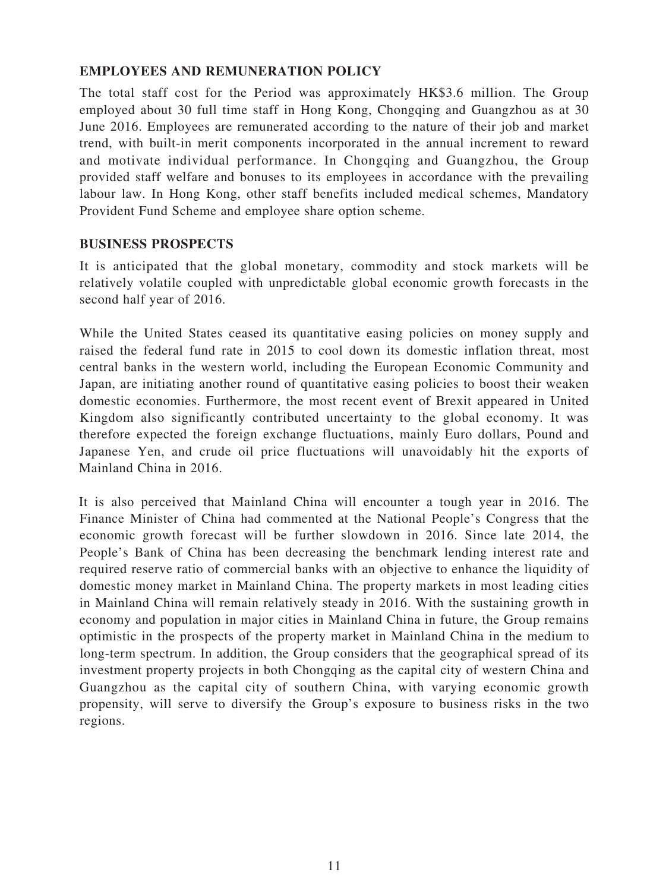### **EMPLOYEES AND REMUNERATION POLICY**

The total staff cost for the Period was approximately HK\$3.6 million. The Group employed about 30 full time staff in Hong Kong, Chongqing and Guangzhou as at 30 June 2016. Employees are remunerated according to the nature of their job and market trend, with built-in merit components incorporated in the annual increment to reward and motivate individual performance. In Chongqing and Guangzhou, the Group provided staff welfare and bonuses to its employees in accordance with the prevailing labour law. In Hong Kong, other staff benefits included medical schemes, Mandatory Provident Fund Scheme and employee share option scheme.

### **BUSINESS PROSPECTS**

It is anticipated that the global monetary, commodity and stock markets will be relatively volatile coupled with unpredictable global economic growth forecasts in the second half year of 2016.

While the United States ceased its quantitative easing policies on money supply and raised the federal fund rate in 2015 to cool down its domestic inflation threat, most central banks in the western world, including the European Economic Community and Japan, are initiating another round of quantitative easing policies to boost their weaken domestic economies. Furthermore, the most recent event of Brexit appeared in United Kingdom also significantly contributed uncertainty to the global economy. It was therefore expected the foreign exchange fluctuations, mainly Euro dollars, Pound and Japanese Yen, and crude oil price fluctuations will unavoidably hit the exports of Mainland China in 2016.

It is also perceived that Mainland China will encounter a tough year in 2016. The Finance Minister of China had commented at the National People's Congress that the economic growth forecast will be further slowdown in 2016. Since late 2014, the People's Bank of China has been decreasing the benchmark lending interest rate and required reserve ratio of commercial banks with an objective to enhance the liquidity of domestic money market in Mainland China. The property markets in most leading cities in Mainland China will remain relatively steady in 2016. With the sustaining growth in economy and population in major cities in Mainland China in future, the Group remains optimistic in the prospects of the property market in Mainland China in the medium to long-term spectrum. In addition, the Group considers that the geographical spread of its investment property projects in both Chongqing as the capital city of western China and Guangzhou as the capital city of southern China, with varying economic growth propensity, will serve to diversify the Group's exposure to business risks in the two regions.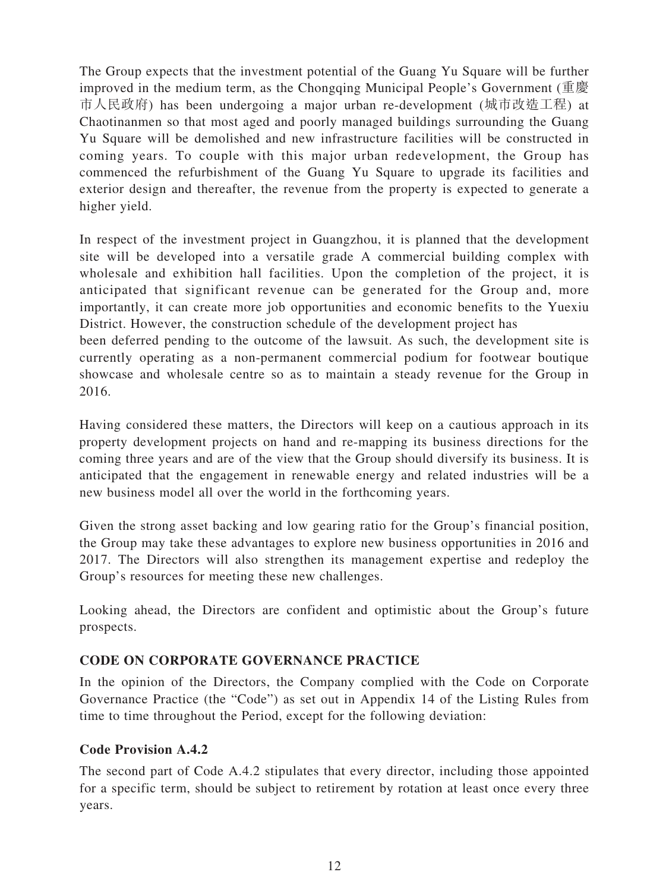The Group expects that the investment potential of the Guang Yu Square will be further improved in the medium term, as the Chongqing Municipal People's Government (重慶 市人民政府) has been undergoing a major urban re-development (城市改造工程) at Chaotinanmen so that most aged and poorly managed buildings surrounding the Guang Yu Square will be demolished and new infrastructure facilities will be constructed in coming years. To couple with this major urban redevelopment, the Group has commenced the refurbishment of the Guang Yu Square to upgrade its facilities and exterior design and thereafter, the revenue from the property is expected to generate a higher yield.

In respect of the investment project in Guangzhou, it is planned that the development site will be developed into a versatile grade A commercial building complex with wholesale and exhibition hall facilities. Upon the completion of the project, it is anticipated that significant revenue can be generated for the Group and, more importantly, it can create more job opportunities and economic benefits to the Yuexiu District. However, the construction schedule of the development project has

been deferred pending to the outcome of the lawsuit. As such, the development site is currently operating as a non-permanent commercial podium for footwear boutique showcase and wholesale centre so as to maintain a steady revenue for the Group in 2016.

Having considered these matters, the Directors will keep on a cautious approach in its property development projects on hand and re-mapping its business directions for the coming three years and are of the view that the Group should diversify its business. It is anticipated that the engagement in renewable energy and related industries will be a new business model all over the world in the forthcoming years.

Given the strong asset backing and low gearing ratio for the Group's financial position, the Group may take these advantages to explore new business opportunities in 2016 and 2017. The Directors will also strengthen its management expertise and redeploy the Group's resources for meeting these new challenges.

Looking ahead, the Directors are confident and optimistic about the Group's future prospects.

### **CODE ON CORPORATE GOVERNANCE PRACTICE**

In the opinion of the Directors, the Company complied with the Code on Corporate Governance Practice (the "Code") as set out in Appendix 14 of the Listing Rules from time to time throughout the Period, except for the following deviation:

### **Code Provision A.4.2**

The second part of Code A.4.2 stipulates that every director, including those appointed for a specific term, should be subject to retirement by rotation at least once every three years.